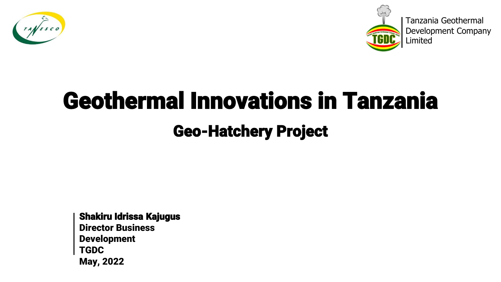



# Geothermal Innovations in Tanzania

# Geo-Hatchery Project

Shakiru Idrissa Kajugus

Director Business Development TGDC May, 2022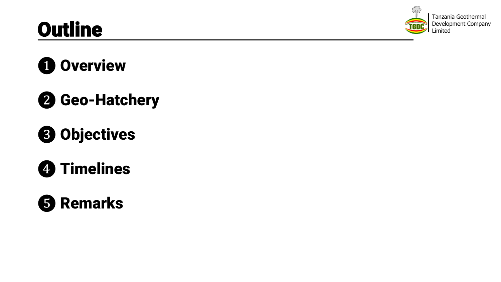

# Overview

Geo-Hatchery

# Objectives



# Remarks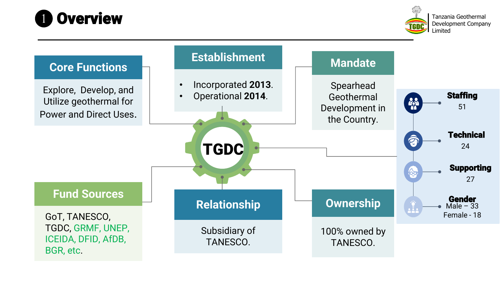

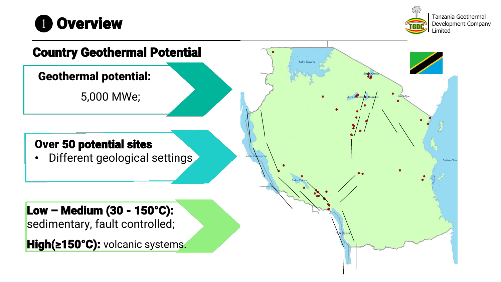



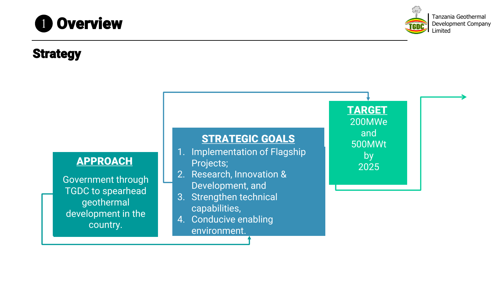

### **Strategy**



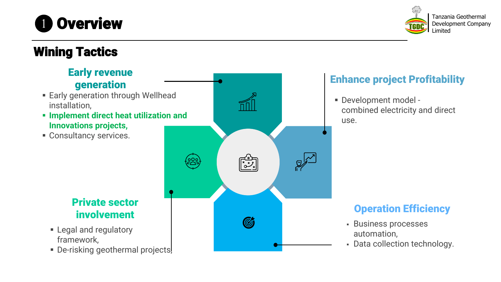

# Wining Tactics

# Early revenue

#### generation

- **Early generation through Wellhead** installation,
- **Implement direct heat utilization and Innovations projects,**
- **EXECONSULTANCY SERVICES.**

### Private sector involvement

- **Example 1** Legal and regulatory framework,
- De-risking geothermal projects,



(C)

## Enhance project Profitability

▪ Development model combined electricity and direct

### Operation Efficiency

- Business processes automation,
- Data collection technology.

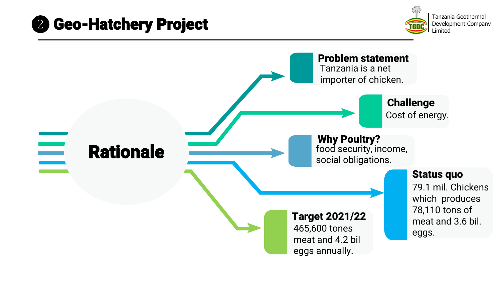



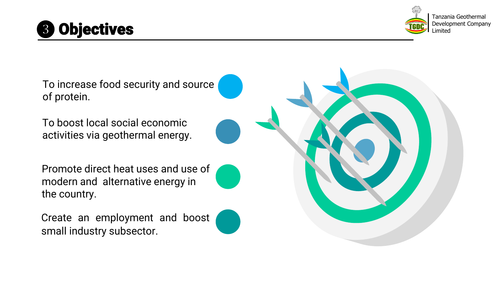



To increase food security and source of protein.

To boost local social economic activities via geothermal energy.

Promote direct heat uses and use of modern and alternative energy in the country.

Create an employment and boost small industry subsector.

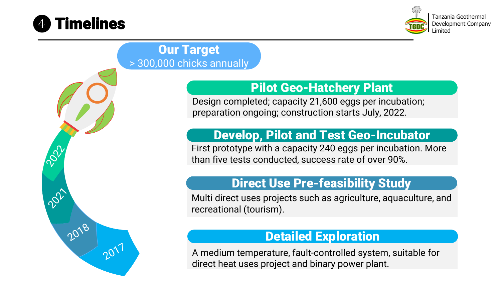



### Our Target > 300,000 chicks annually



## Pilot Geo-Hatchery Plant

Design completed; capacity 21,600 eggs per incubation; preparation ongoing; construction starts July, 2022.

## Develop, Pilot and Test Geo-Incubator

First prototype with a capacity 240 eggs per incubation. More than five tests conducted, success rate of over 90%.

### Direct Use Pre-feasibility Study

Multi direct uses projects such as agriculture, aquaculture, and recreational (tourism).

### Detailed Exploration

A medium temperature, fault-controlled system, suitable for direct heat uses project and binary power plant.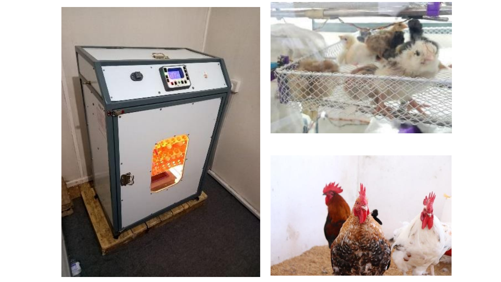



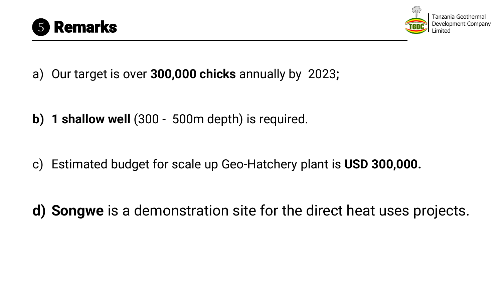



a) Our target is over **300,000 chicks** annually by 2023**;**

**b) 1 shallow well** (300 - 500m depth) is required.

c) Estimated budget for scale up Geo-Hatchery plant is **USD 300,000.**

**d) Songwe** is a demonstration site for the direct heat uses projects.